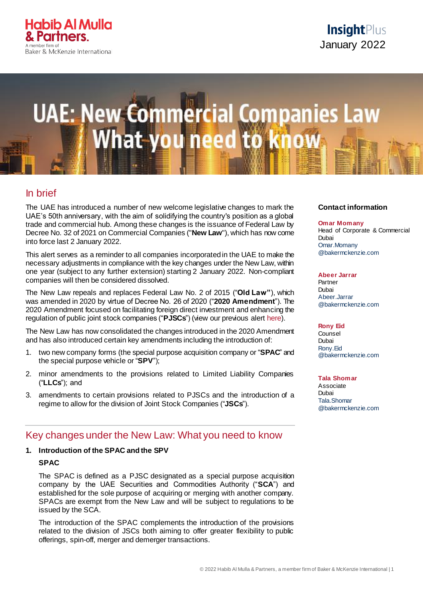

# **UAE: New Commercial Companies Law** hat-vou need to k

# In brief

The UAE has introduced a number of new welcome legislative changes to mark the UAE's 50th anniversary, with the aim of solidifying the country's position as a global trade and commercial hub. Among these changes is the issuance of Federal Law by Decree No. 32 of 2021 on Commercial Companies ("**New Law**"), which has now come into force last 2 January 2022.

This alert serves as a reminder to all companies incorporated in the UAE to make the necessary adjustments in compliance with the key changes under the New Law, within one year (subject to any further extension) starting 2 January 2022. Non-compliant companies will then be considered dissolved.

The New Law repeals and replaces Federal Law No. 2 of 2015 ("**Old Law"**), which was amended in 2020 by virtue of Decree No. 26 of 2020 ("**2020 Amendment**"). The 2020 Amendment focused on facilitating foreign direct investment and enhancing the regulation of public joint stock companies ("**PJSCs**") (view our previous alert [here\)](https://insightplus.bakermckenzie.com/bm/mergers-acquisitions_5/uae-a-major-change-of-approach-introduces-fundamental-amendments-to-its-commercial-companies-law).

The New Law has now consolidated the changes introduced in the 2020 Amendment and has also introduced certain key amendments including the introduction of:

- 1. two new company forms (the special purpose acquisition company or "**SPAC**" and the special purpose vehicle or "**SPV**");
- 2. minor amendments to the provisions related to Limited Liability Companies ("**LLCs**"); and
- 3. amendments to certain provisions related to PJSCs and the introduction of a regime to allow for the division of Joint Stock Companies ("**JSCs**").

# Key changes under the New Law: What you need to know

#### **1. Introduction of the SPAC and the SPV**

# **SPAC**

The SPAC is defined as a PJSC designated as a special purpose acquisition company by the UAE Securities and Commodities Authority ("**SCA**") and established for the sole purpose of acquiring or merging with another company. SPACs are exempt from the New Law and will be subject to regulations to be issued by the SCA.

The introduction of the SPAC complements the introduction of the provisions related to the division of JSCs both aiming to offer greater flexibility to public offerings, spin-off, merger and demerger transactions.

#### **Contact information**

**Omar Momany** Head of Corporate & Commercial Dubai Omar.Momany @bakermckenzie.com

#### **Abeer Jarrar**

Partner Dubai Abeer.Jarrar @bakermckenzie.com

**Rony Eid**

Counsel Dubai [Rony.Eid](mailto:Rony.Eid@bakermckenzie.com) [@bakermckenzie.com](mailto:Rony.Eid@bakermckenzie.com)

**Tala Shomar**

Associate Dubai [Tala.Shomar](mailto:Tala.Shomar@bakermckenzie.com) [@bakermckenzie.com](mailto:Tala.Shomar@bakermckenzie.com)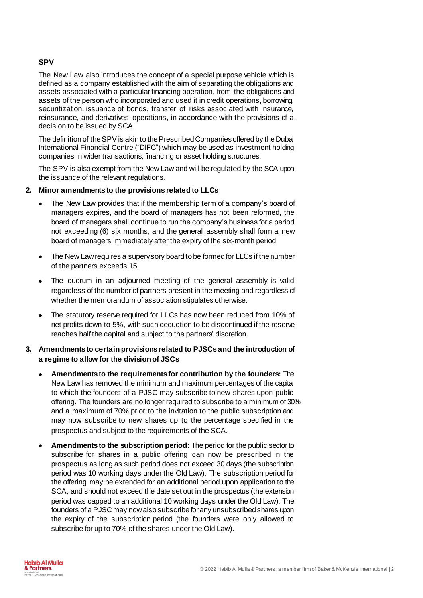# **SPV**

The New Law also introduces the concept of a special purpose vehicle which is defined as a company established with the aim of separating the obligations and assets associated with a particular financing operation, from the obligations and assets of the person who incorporated and used it in credit operations, borrowing, securitization, issuance of bonds, transfer of risks associated with insurance, reinsurance, and derivatives operations, in accordance with the provisions of a decision to be issued by SCA.

The definition of the SPV is akin to the Prescribed Companies offered by the Dubai International Financial Centre ("DIFC") which may be used as investment holding companies in wider transactions, financing or asset holding structures.

The SPV is also exempt from the New Law and will be regulated by the SCA upon the issuance of the relevant regulations.

# **2. Minor amendments to the provisions related to LLCs**

- The New Law provides that if the membership term of a company's board of managers expires, and the board of managers has not been reformed, the board of managers shall continue to run the company's business for a period not exceeding (6) six months, and the general assembly shall form a new board of managers immediately after the expiry of the six-month period.
- The New Law requires a supervisory board tobe formed for LLCs if the number of the partners exceeds 15.
- The quorum in an adjourned meeting of the general assembly is valid regardless of the number of partners present in the meeting and regardless of whether the memorandum of association stipulates otherwise.
- The statutory reserve required for LLCs has now been reduced from 10% of net profits down to 5%, with such deduction to be discontinued if the reserve reaches half the capital and subject to the partners' discretion.
- **3. Amendments to certain provisions related to PJSCs and the introduction of a regime to allow for the division of JSCs**
	- **Amendments to the requirements for contribution by the founders:** The New Law has removed the minimum and maximum percentages of the capital to which the founders of a PJSC may subscribe to new shares upon public offering. The founders are no longer required to subscribe to a minimum of 30% and a maximum of 70% prior to the invitation to the public subscription and may now subscribe to new shares up to the percentage specified in the prospectus and subject to the requirements of the SCA.
	- **Amendments to the subscription period:** The period for the public sector to subscribe for shares in a public offering can now be prescribed in the prospectus as long as such period does not exceed 30 days (the subscription period was 10 working days under the Old Law). The subscription period for the offering may be extended for an additional period upon application to the SCA, and should not exceed the date set out in the prospectus (the extension period was capped to an additional 10 working days under the Old Law). The founders of a PJSC may now also subscribe for any unsubscribed shares upon the expiry of the subscription period (the founders were only allowed to subscribe for up to 70% of the shares under the Old Law).

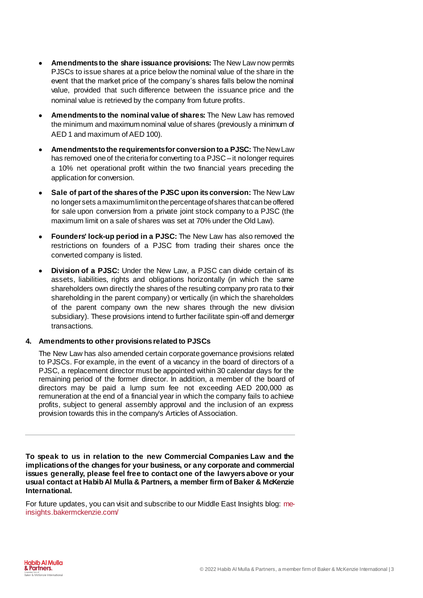- **Amendments to the share issuance provisions:** The New Law now permits PJSCs to issue shares at a price below the nominal value of the share in the event that the market price of the company's shares falls below the nominal value, provided that such difference between the issuance price and the nominal value is retrieved by the company from future profits.
- **Amendments to the nominal value of shares:** The New Law has removed the minimum and maximum nominal value of shares (previously a minimum of AED 1 and maximum of AED 100).
- **Amendments to the requirements for conversion to a PJSC:** The New Law has removed one of the criteria for converting to a PJSC – it no longer requires a 10% net operational profit within the two financial years preceding the application for conversion.
- **Sale of part of the shares of the PJSC upon its conversion:** The New Law no longer sets a maximum limit on the percentage of shares that can be offered for sale upon conversion from a private joint stock company to a PJSC (the maximum limit on a sale of shares was set at 70% under the Old Law).
- **Founders' lock-up period in a PJSC:** The New Law has also removed the restrictions on founders of a PJSC from trading their shares once the converted company is listed.
- **Division of a PJSC:** Under the New Law, a PJSC can divide certain of its assets, liabilities, rights and obligations horizontally (in which the same shareholders own directly the shares of the resulting company pro rata to their shareholding in the parent company) or vertically (in which the shareholders of the parent company own the new shares through the new division subsidiary). These provisions intend to further facilitate spin-off and demerger transactions.

# **4. Amendments to other provisions related to PJSCs**

The New Law has also amended certain corporate governance provisions related to PJSCs. For example, in the event of a vacancy in the board of directors of a PJSC, a replacement director must be appointed within 30 calendar days for the remaining period of the former director. In addition, a member of the board of directors may be paid a lump sum fee not exceeding AED 200,000 as remuneration at the end of a financial year in which the company fails to achieve profits, subject to general assembly approval and the inclusion of an express provision towards this in the company's Articles of Association.

**To speak to us in relation to the new Commercial Companies Law and the implications of the changes for your business, or any corporate and commercial issues generally, please feel free to contact one of the lawyers above or your usual contact at Habib Al Mulla & Partners, a member firm of Baker & McKenzie International.**

For future updates, you can visit and subscribe to our Middle East Insights blog: [me](https://me-insights.bakermckenzie.com/)[insights.bakermckenzie.com/](https://me-insights.bakermckenzie.com/)